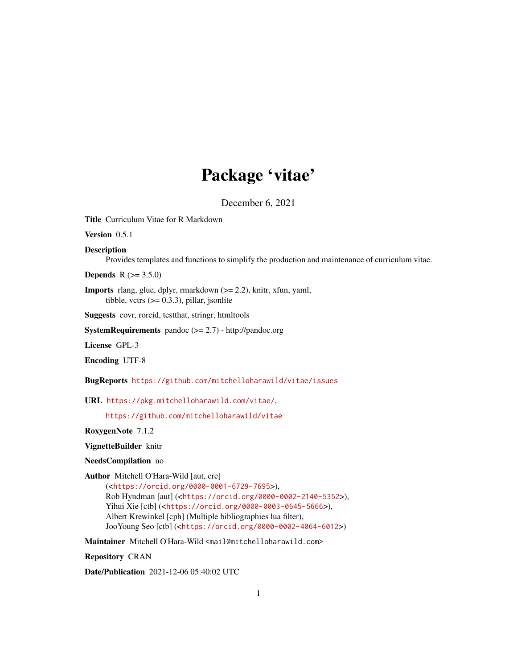# Package 'vitae'

December 6, 2021

<span id="page-0-0"></span>Title Curriculum Vitae for R Markdown

Version 0.5.1

Description

Provides templates and functions to simplify the production and maintenance of curriculum vitae.

**Depends** R  $(>= 3.5.0)$ 

Imports rlang, glue, dplyr, rmarkdown (>= 2.2), knitr, xfun, yaml, tibble, vctrs  $(>= 0.3.3)$ , pillar, jsonlite

Suggests covr, rorcid, testthat, stringr, htmltools

SystemRequirements pandoc (>= 2.7) - http://pandoc.org

License GPL-3

Encoding UTF-8

BugReports <https://github.com/mitchelloharawild/vitae/issues>

URL <https://pkg.mitchelloharawild.com/vitae/>,

<https://github.com/mitchelloharawild/vitae>

RoxygenNote 7.1.2

VignetteBuilder knitr

NeedsCompilation no

Author Mitchell O'Hara-Wild [aut, cre]

(<<https://orcid.org/0000-0001-6729-7695>>), Rob Hyndman [aut] (<<https://orcid.org/0000-0002-2140-5352>>), Yihui Xie [ctb] (<<https://orcid.org/0000-0003-0645-5666>>), Albert Krewinkel [cph] (Multiple bibliographies lua filter), JooYoung Seo [ctb] (<<https://orcid.org/0000-0002-4064-6012>>)

Maintainer Mitchell O'Hara-Wild <mail@mitchelloharawild.com>

Repository CRAN

Date/Publication 2021-12-06 05:40:02 UTC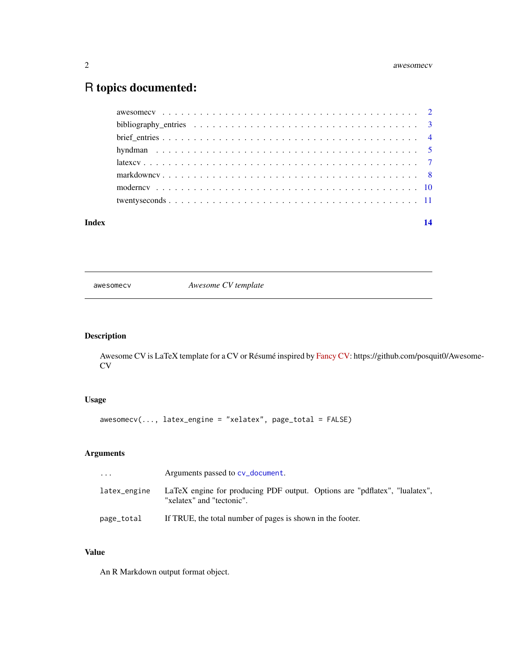#### <span id="page-1-0"></span>2 awesomecv and the state of the state of the state of the state of the state of the state of the state of the state of the state of the state of the state of the state of the state of the state of the state of the state o

# R topics documented:

| Index | 14 |
|-------|----|
|       |    |
|       |    |
|       |    |
|       |    |
|       |    |
|       |    |
|       |    |
|       |    |

awesomecv *Awesome CV template*

# Description

Awesome CV is LaTeX template for a CV or Résumé inspired by [Fancy CV:](https://www.overleaf.com/latex/templates/friggeri-cv-template/hmnchbfmjgqh) https://github.com/posquit0/Awesome-CV

# Usage

awesomecv(..., latex\_engine = "xelatex", page\_total = FALSE)

# Arguments

| $\cdots$     | Arguments passed to cv_document.                                                                        |
|--------------|---------------------------------------------------------------------------------------------------------|
| latex_engine | LaTeX engine for producing PDF output. Options are "pdflatex", "lualatex",<br>"xelatex" and "tectonic". |
| page_total   | If TRUE, the total number of pages is shown in the footer.                                              |

# Value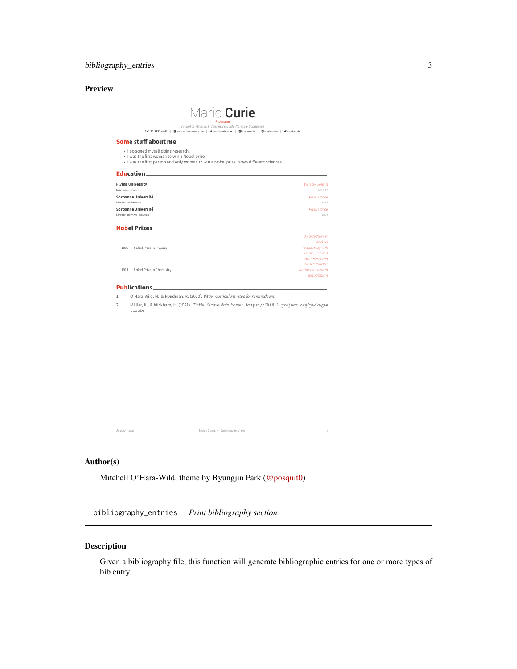# <span id="page-2-0"></span>Preview

| School of Physics & Chemistry, École Normale Supérieure<br>0+1 22 3333 4444   图 Harie. Carie6ear. fr   番 mariecurie.com   图 mariecurie   图 mariecurie   岁 mariecurie           |                                     |
|--------------------------------------------------------------------------------------------------------------------------------------------------------------------------------|-------------------------------------|
| Some stuff about me and the stuff of the stuff of the stuff of the stuff of the stuff of the stuff of the stuff                                                                |                                     |
| · I poisoned myself doing research.<br>· I was the first woman to win a Nobel prize<br>· I was the first person and only woman to win a Nobel prize in two different sciences. |                                     |
| Education                                                                                                                                                                      |                                     |
| <b>Flying University</b>                                                                                                                                                       | Warsaw, Poland                      |
| INFORMAL STUDIES                                                                                                                                                               | 1889.91                             |
| Sorbonne Université                                                                                                                                                            | Paris, France                       |
| <b>MASTER OF PHYSICS</b>                                                                                                                                                       | 1893                                |
| Sorbonne Université                                                                                                                                                            | Paris, France                       |
| <b>MASTER OF MATHEMATICS</b>                                                                                                                                                   | 1894                                |
| Nobel Prizes                                                                                                                                                                   |                                     |
|                                                                                                                                                                                | Awarded for her                     |
|                                                                                                                                                                                | work on                             |
| Nobel Prize in Physics<br>1903                                                                                                                                                 | radioactivity with                  |
|                                                                                                                                                                                | Pierre Curie and<br>Henri Becquerel |
|                                                                                                                                                                                | Awarded for the                     |
|                                                                                                                                                                                |                                     |
| 1911<br>Nobel Prize in Chemistry                                                                                                                                               | discovery of radium                 |

1. O'Hara-Wild, M., & Hyndman, R. (2020). Vitae: Curriculum vitae for r markdown.

2. Müller, K., & Wickham, H. (2021). Tibble: Simple data frames.  $https://CRAN.R-project.org/package= tibble$ 

 $\text{Market Curie} \; \cdot \; \text{Current} \; \text{Vitae}$ 

#### Author(s)

JANUARY 2021

Mitchell O'Hara-Wild, theme by Byungjin Park [\(@posquit0\)](https://github.com/posquit0)

bibliography\_entries *Print bibliography section*

# Description

Given a bibliography file, this function will generate bibliographic entries for one or more types of bib entry.

 $\sim$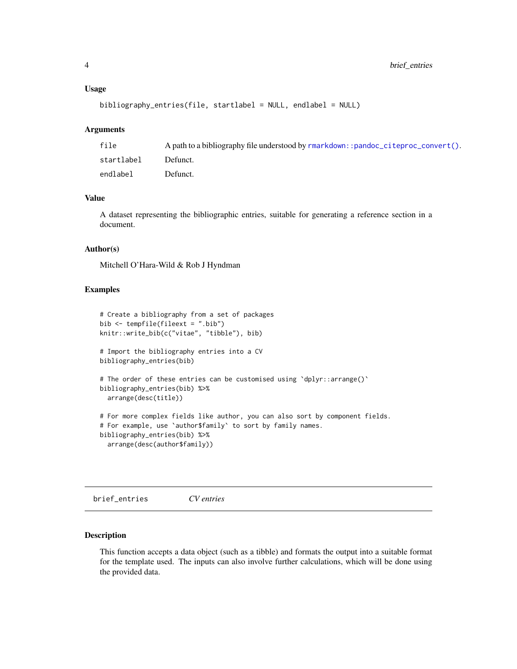#### <span id="page-3-0"></span>Usage

```
bibliography_entries(file, startlabel = NULL, endlabel = NULL)
```
#### Arguments

| file       | A path to a bibliography file understood by $r$ markdown: :pandoc_citeproc_convert(). |
|------------|---------------------------------------------------------------------------------------|
| startlabel | Defunct.                                                                              |
| endlabel   | Defunct.                                                                              |

#### Value

A dataset representing the bibliographic entries, suitable for generating a reference section in a document.

#### Author(s)

Mitchell O'Hara-Wild & Rob J Hyndman

#### Examples

```
# Create a bibliography from a set of packages
bib <- tempfile(fileext = ".bib")
knitr::write_bib(c("vitae", "tibble"), bib)
# Import the bibliography entries into a CV
bibliography_entries(bib)
# The order of these entries can be customised using `dplyr::arrange()`
bibliography_entries(bib) %>%
  arrange(desc(title))
# For more complex fields like author, you can also sort by component fields.
# For example, use `author$family` to sort by family names.
bibliography_entries(bib) %>%
  arrange(desc(author$family))
```
brief\_entries *CV entries*

#### Description

This function accepts a data object (such as a tibble) and formats the output into a suitable format for the template used. The inputs can also involve further calculations, which will be done using the provided data.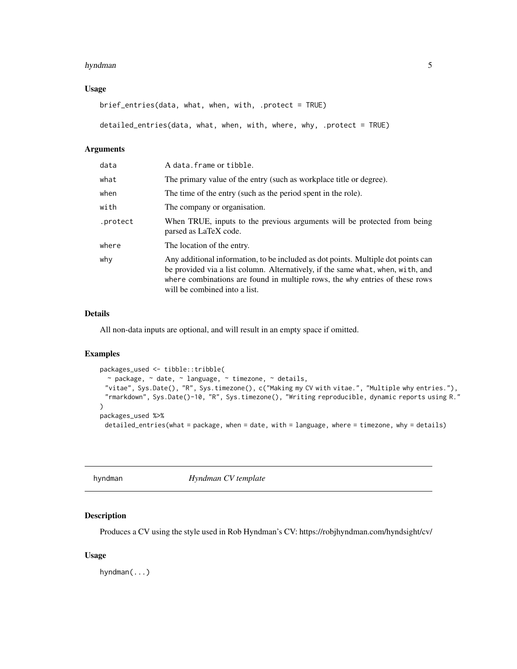#### <span id="page-4-0"></span>hyndman 5

#### Usage

brief\_entries(data, what, when, with, .protect = TRUE)

detailed\_entries(data, what, when, with, where, why, .protect = TRUE)

# Arguments

| data     | A data. frame or tibble.                                                                                                                                                                                                                                                              |
|----------|---------------------------------------------------------------------------------------------------------------------------------------------------------------------------------------------------------------------------------------------------------------------------------------|
| what     | The primary value of the entry (such as workplace title or degree).                                                                                                                                                                                                                   |
| when     | The time of the entry (such as the period spent in the role).                                                                                                                                                                                                                         |
| with     | The company or organisation.                                                                                                                                                                                                                                                          |
| .protect | When TRUE, inputs to the previous arguments will be protected from being<br>parsed as LaTeX code.                                                                                                                                                                                     |
| where    | The location of the entry.                                                                                                                                                                                                                                                            |
| why      | Any additional information, to be included as dot points. Multiple dot points can<br>be provided via a list column. Alternatively, if the same what, when, with, and<br>where combinations are found in multiple rows, the why entries of these rows<br>will be combined into a list. |

#### Details

All non-data inputs are optional, and will result in an empty space if omitted.

#### Examples

```
packages_used <- tibble::tribble(
 \sim package, \sim date, \sim language, \sim timezone, \sim details,
 "vitae", Sys.Date(), "R", Sys.timezone(), c("Making my CV with vitae.", "Multiple why entries."),
 "rmarkdown", Sys.Date()-10, "R", Sys.timezone(), "Writing reproducible, dynamic reports using R."
)
packages_used %>%
 detailed_entries(what = package, when = date, with = language, where = timezone, why = details)
```
hyndman *Hyndman CV template*

#### Description

Produces a CV using the style used in Rob Hyndman's CV: https://robjhyndman.com/hyndsight/cv/

#### Usage

hyndman(...)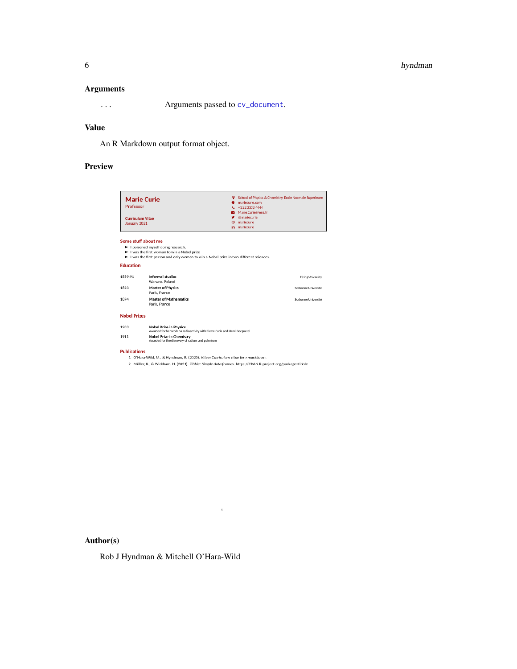#### <span id="page-5-0"></span>6 hyndman

#### Arguments

... Arguments passed to [cv\\_document](#page-0-0).

# Value

An R Markdown output format object.

# Preview

| <b>Marie Curie</b><br>Professor<br><b>Curriculum Vitae</b><br>January 2021 |                                                                                                                                                                                                   | School of Physics & Chemistry, École Normale Supérieure<br>۰<br>mariecurie.com<br>+1 22 3333 4444<br>L<br>Marie.Curie@ens.fr<br>м<br><b>@mariecurie</b><br>mariecurie<br>o<br>mariecurie<br>in |  |
|----------------------------------------------------------------------------|---------------------------------------------------------------------------------------------------------------------------------------------------------------------------------------------------|------------------------------------------------------------------------------------------------------------------------------------------------------------------------------------------------|--|
|                                                                            | Some stuff about me<br>> I poisoned myself doing research.<br>I was the first woman to win a Nobel prize<br>I was the first person and only woman to win a Nobel prize in two different sciences. |                                                                                                                                                                                                |  |
| <b>Education</b>                                                           |                                                                                                                                                                                                   |                                                                                                                                                                                                |  |
| 1889-91                                                                    | <b>Informal studies</b><br>Warsaw. Poland                                                                                                                                                         | <b>Flying University</b>                                                                                                                                                                       |  |
| 1893                                                                       | <b>Master of Physics</b><br>Paris, France                                                                                                                                                         | Sorbonne Université                                                                                                                                                                            |  |
| 1894                                                                       | <b>Master of Mathematics</b><br>Paris, France                                                                                                                                                     | Sorbonne Université                                                                                                                                                                            |  |
| <b>Nobel Prizes</b>                                                        |                                                                                                                                                                                                   |                                                                                                                                                                                                |  |
|                                                                            |                                                                                                                                                                                                   |                                                                                                                                                                                                |  |
| 1903                                                                       | <b>Nobel Prize in Physics</b><br>Awarded for her work on radioactivity with Pierre Curie and Henri Becquerel                                                                                      |                                                                                                                                                                                                |  |

1. O'Hara-Wild, M., & Hyndman, R. (2020). Vitae: Curriculum vitae for r markdown.

2. Müller, K., & Wickham, H. (2021). Tibble: Simple data frames. https://CRAN.R-project.org/package=tibble

 $\,$   $\,$ 

Author(s)

Rob J Hyndman & Mitchell O'Hara-Wild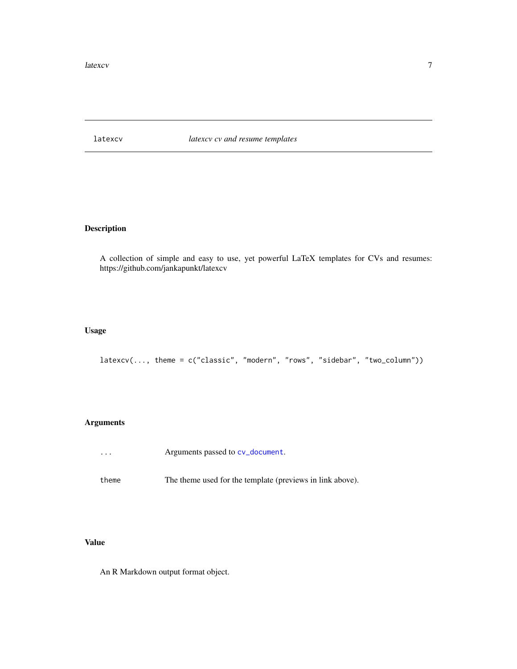<span id="page-6-0"></span>latexcv *latexcv cv and resume templates*

# Description

A collection of simple and easy to use, yet powerful LaTeX templates for CVs and resumes: https://github.com/jankapunkt/latexcv

### Usage

```
latexcv(..., theme = c("classic", "modern", "rows", "sidebar", "two_column"))
```
#### Arguments

- ... Arguments passed to [cv\\_document](#page-0-0).
- theme The theme used for the template (previews in link above).

### Value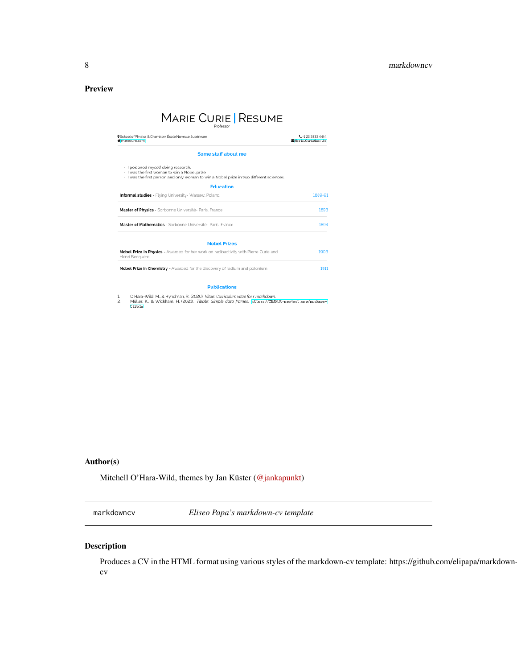<span id="page-7-0"></span>Preview

# MARIE CURIE | RESUME

| L +1 22 3333 4444<br>Marie Curie0ens .fr                                                |
|-----------------------------------------------------------------------------------------|
|                                                                                         |
| · I was the first person and only woman to win a Nobel prize in two different sciences. |
|                                                                                         |
| 1889-91                                                                                 |
| 1893                                                                                    |
| 1894                                                                                    |
|                                                                                         |
| 1903                                                                                    |
| 1911                                                                                    |
|                                                                                         |

O'Hara-Wild, M., & Hyndman, R. (2020). *Vitge: Curriculum vitge for r markdown.*<br>Müller, K., & Wickham, H. (2021). *Tibble: Simple data frames. [*https://CRAM.R-project.org/package=]<br>[13bbJe]  $\frac{1}{2}$ 

#### Author(s)

Mitchell O'Hara-Wild, themes by Jan Küster [\(@jankapunkt\)](https://github.com/jankapunkt)

markdowncv *Eliseo Papa's markdown-cv template*

#### Description

Produces a CV in the HTML format using various styles of the markdown-cv template: https://github.com/elipapa/markdowncv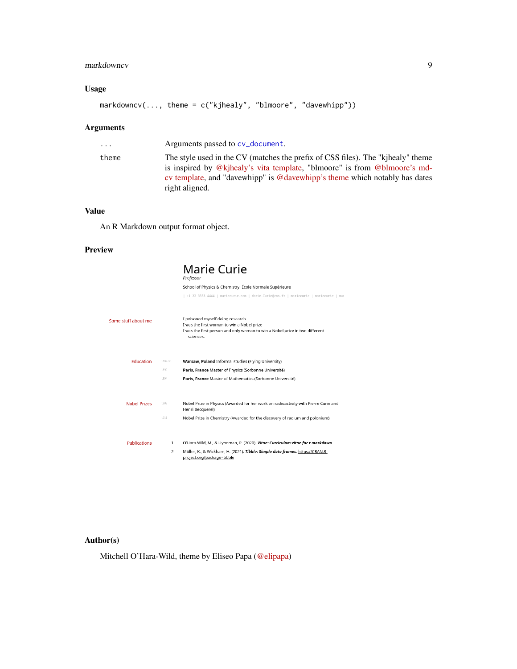# <span id="page-8-0"></span>markdowncv 9

# Usage

```
markdowncv(..., theme = c("kjhealy", "blmoore", "davewhipp"))
```
# Arguments

| .     | Arguments passed to cv_document.                                                                                                                                                                                                                             |
|-------|--------------------------------------------------------------------------------------------------------------------------------------------------------------------------------------------------------------------------------------------------------------|
| theme | The style used in the CV (matches the prefix of CSS files). The "kinealy" theme<br>is inspired by @kjhealy's vita template, "blmoore" is from @blmoore's md-<br>cy template, and "davewhipp" is @davewhipp's theme which notably has dates<br>right aligned. |

## Value

An R Markdown output format object.

### Preview

|                     |         | Marie Curie<br>Professor                                                                                                                                                    |
|---------------------|---------|-----------------------------------------------------------------------------------------------------------------------------------------------------------------------------|
|                     |         | School of Physics & Chemistry, École Normale Supérieure                                                                                                                     |
|                     |         | +1 22 3333 4444   mariecurie.com   Marie.Curie@ens.fr   mariecurie   mariecurie   mar                                                                                       |
| Some stuff about me |         | I poisoned myself doing research.<br>I was the first woman to win a Nobel prize<br>I was the first person and only woman to win a Nobel prize in two different<br>sciences. |
| Education           | 1889-91 | Warsaw, Poland Informal studies (Flying University)                                                                                                                         |
|                     | 1893    | Paris, France Master of Physics (Sorbonne Université)                                                                                                                       |
|                     | 1894    | Paris, France Master of Mathematics (Sorbonne Université)                                                                                                                   |
|                     |         |                                                                                                                                                                             |
| <b>Nobel Prizes</b> | 1903    | Nobel Prize in Physics (Awarded for her work on radioactivity with Pierre Curie and<br>Henri Becquerel)                                                                     |
|                     | 1911    | Nobel Prize in Chemistry (Awarded for the discovery of radium and polonium)                                                                                                 |
|                     |         |                                                                                                                                                                             |
| <b>Publications</b> | 1.      | O'Hara-Wild, M., & Hyndman, R. (2020). Vitae: Curriculum vitae for r markdown.                                                                                              |
|                     | 2.      | Müller, K., & Wickham, H. (2021). Tibble: Simple data frames. https://CRAN.R-<br>project.org/package=tibble                                                                 |

# Author(s)

Mitchell O'Hara-Wild, theme by Eliseo Papa [\(@elipapa\)](https://github.com/elipapa)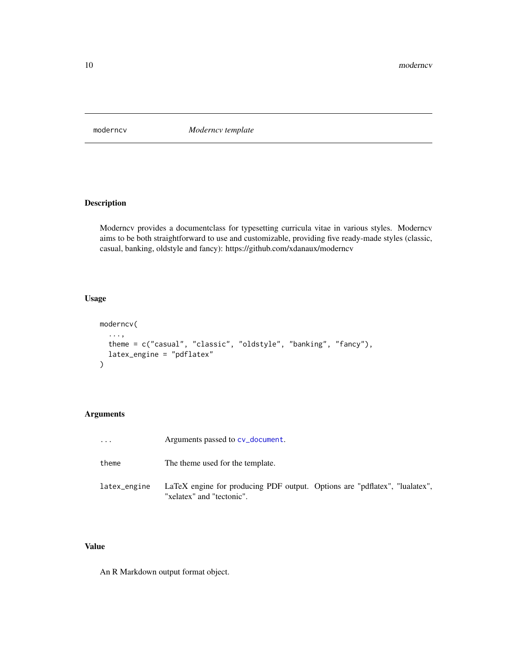<span id="page-9-0"></span>moderncv *Moderncv template*

# Description

Moderncv provides a documentclass for typesetting curricula vitae in various styles. Moderncv aims to be both straightforward to use and customizable, providing five ready-made styles (classic, casual, banking, oldstyle and fancy): https://github.com/xdanaux/moderncv

#### Usage

```
moderncv(
  ...,
  theme = c("casual", "classic", "oldstyle", "banking", "fancy"),
  latex_engine = "pdflatex"
\mathcal{L}
```
#### Arguments

| .            | Arguments passed to cv_document.                                                                        |  |
|--------------|---------------------------------------------------------------------------------------------------------|--|
| theme        | The theme used for the template.                                                                        |  |
| latex_engine | LaTeX engine for producing PDF output. Options are "pdflatex", "lualatex",<br>"xelatex" and "tectonic". |  |

#### Value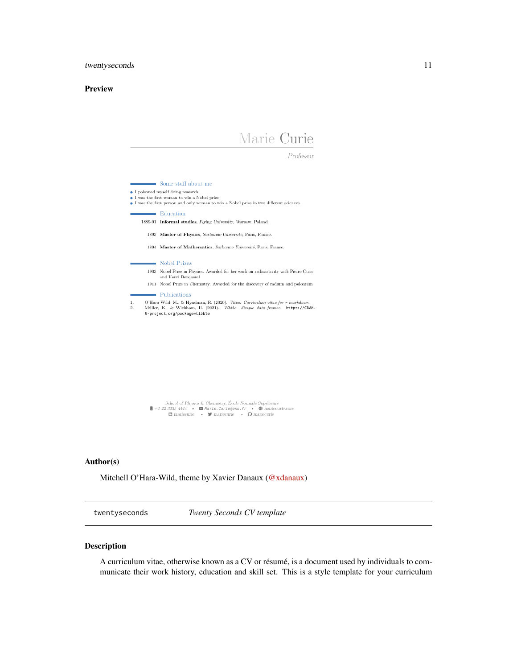#### <span id="page-10-0"></span>Preview

# Marie Curie

Professor

 $\blacksquare$  Some stuff about me  $\bullet$  I poisoned myself doing research. <br>  $\bullet$  I was the first woman to win a Nobel prize  $\bullet$  I was the first person and only woman to win a Nobel prize in two different sciences.  $\blacksquare$  Education 1889-91 Informal studies, Flying University, Warsaw, Poland. 1893 Master of Physics, Sorbonne Université, Paris, France. 1894 Master of Mathematics, Sorbonne Université, Paris, France. Nobel Prizes 1903 Nobel Prize in Physics. Awarded for her work on radioactivity with Pierre Curie and Henri Becquerel  $1911$   $\,$  Nobel Prize in Chemistry. Awarded for the discovery of radium and polonium Publications O'Hara-Wild, M., & Hyndman, R. (2020). Vitae: Curriculum vitae for  $r$  markdown.<br>Müller, K., & Wickham, H. (2021). *Tibble: Simple data frames.* https://CRAN.<br>R-project.org/package=tibble  $\mathbf{1}$ 



#### Author(s)

Mitchell O'Hara-Wild, theme by Xavier Danaux [\(@xdanaux\)](https://github.com/xdanaux)

twentyseconds *Twenty Seconds CV template*

#### Description

A curriculum vitae, otherwise known as a CV or résumé, is a document used by individuals to communicate their work history, education and skill set. This is a style template for your curriculum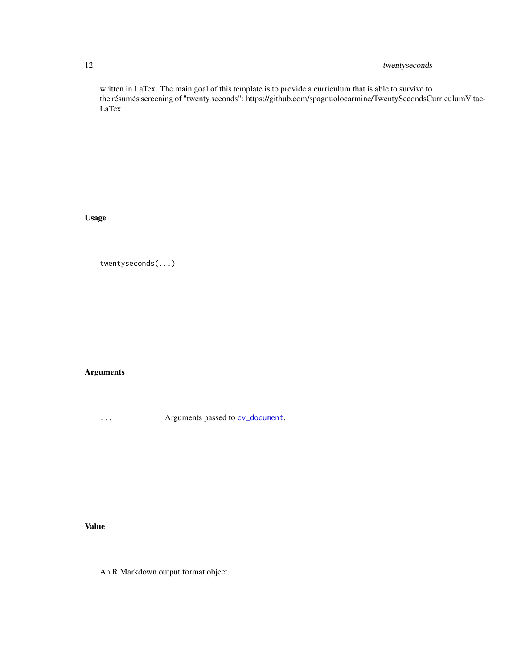# <span id="page-11-0"></span>12 twentyseconds

written in LaTex. The main goal of this template is to provide a curriculum that is able to survive to the résumés screening of "twenty seconds": https://github.com/spagnuolocarmine/TwentySecondsCurriculumVitae-LaTex

Usage

twentyseconds(...)

Arguments

... Arguments passed to [cv\\_document](#page-0-0).

Value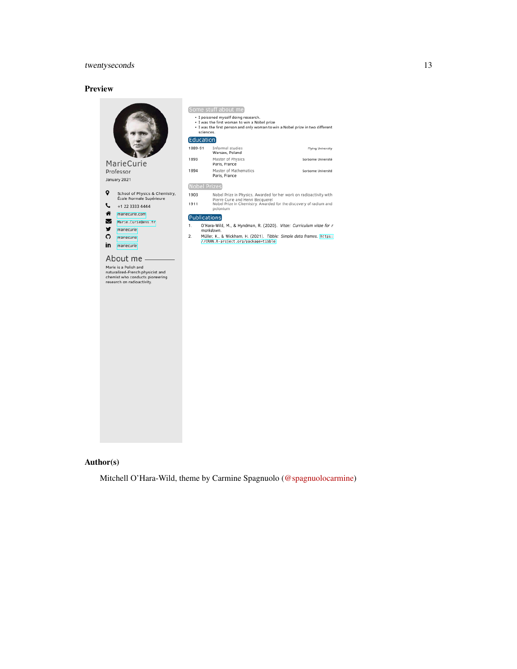# twentyseconds 13

#### Preview



| Some stuff about me<br>· I poisoned myself doing research.                                                                                 |                                                                                                             |  |  |
|--------------------------------------------------------------------------------------------------------------------------------------------|-------------------------------------------------------------------------------------------------------------|--|--|
| . I was the first woman to win a Nobel prize<br>. I was the first person and only woman to win a Nobel prize in two different<br>sciences. |                                                                                                             |  |  |
| [Education]                                                                                                                                |                                                                                                             |  |  |
| 1889-91                                                                                                                                    | Informal studies<br>Flying University<br>Warsaw, Poland                                                     |  |  |
| 1893                                                                                                                                       | Master of Physics<br>Sorbonne Université<br>Paris, France                                                   |  |  |
| 1894                                                                                                                                       | Master of Mathematics<br>Sorbonne Université<br>Paris, France                                               |  |  |
| <b>Nobel Prizes</b>                                                                                                                        |                                                                                                             |  |  |
| 1903                                                                                                                                       | Nobel Prize in Physics. Awarded for her work on radioactivity with<br>Pierre Curie and Henri Becquerel      |  |  |
| 1911                                                                                                                                       | Nobel Prize in Chemistry. Awarded for the discovery of radium and<br>polonium                               |  |  |
|                                                                                                                                            | [Publications]                                                                                              |  |  |
| 1.                                                                                                                                         | O'Hara-Wild, M., & Hyndman, R. (2020). Vitae: Curriculum vitae for r<br>markdown                            |  |  |
| 2.                                                                                                                                         | Müller, K., & Wickham, H. (2021). Tibble: Simple data frames. https:<br>//CRAN.R-project.org/package=tibble |  |  |

# Author(s)

Mitchell O'Hara-Wild, theme by Carmine Spagnuolo [\(@spagnuolocarmine\)](https://github.com/spagnuolocarmine)